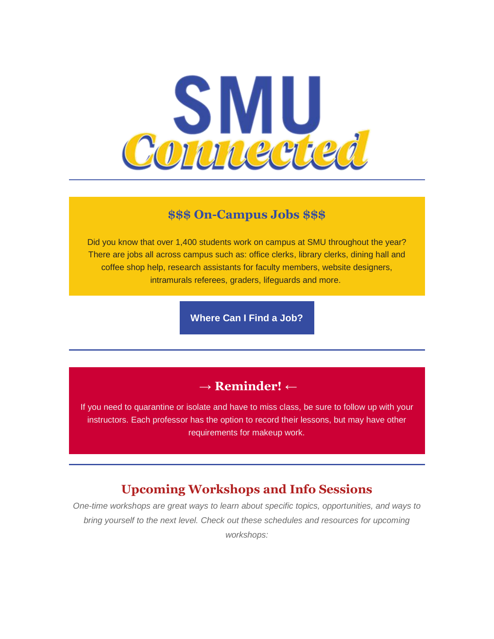

#### **\$\$\$ On-Campus Jobs \$\$\$**

Did you know that over 1,400 students work on campus at SMU throughout the year? There are jobs all across campus such as: office clerks, library clerks, dining hall and coffee shop help, research assistants for faculty members, website designers, intramurals referees, graders, lifeguards and more.

**[Where Can I Find a Job?](https://smu.us2.list-manage.com/track/click?u=05c2f1f614b1eab7f31c0ceab&id=225b2c3ec0&e=6b818bfc4c)**

## **→ Reminder! ←**

If you need to quarantine or isolate and have to miss class, be sure to follow up with your instructors. Each professor has the option to record their lessons, but may have other requirements for makeup work.

# **Upcoming Workshops and Info Sessions**

*One-time workshops are great ways to learn about specific topics, opportunities, and ways to bring yourself to the next level. Check out these schedules and resources for upcoming workshops:*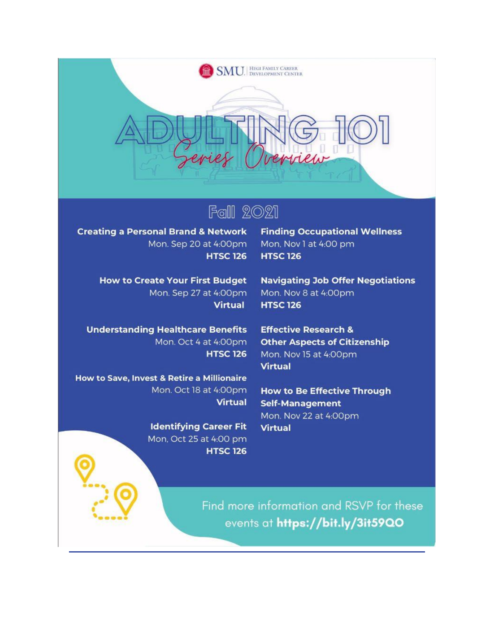

# **Fall 2021**

**Creating a Personal Brand & Network** Mon. Sep 20 at 4:00pm **HTSC 126** 

> **How to Create Your First Budget** Mon. Sep 27 at 4:00pm **Virtual**

**Understanding Healthcare Benefits** Mon. Oct 4 at 4:00pm **HTSC 126** 

How to Save, Invest & Retire a Millionaire Mon. Oct 18 at 4:00pm **Virtual** 

> **Identifying Career Fit** Mon, Oct 25 at 4:00 pm **HTSC 126**

**Finding Occupational Wellness** Mon, Nov 1 at 4:00 pm **HTSC 126** 

**Navigating Job Offer Negotiations** Mon. Nov 8 at 4:00pm **HTSC 126** 

**Effective Research & Other Aspects of Citizenship** Mon. Nov 15 at 4:00pm **Virtual** 

**How to Be Effective Through Self-Management** Mon. Nov 22 at 4:00pm **Virtual** 

Find more information and RSVP for these events at https://bit.ly/3it59Q0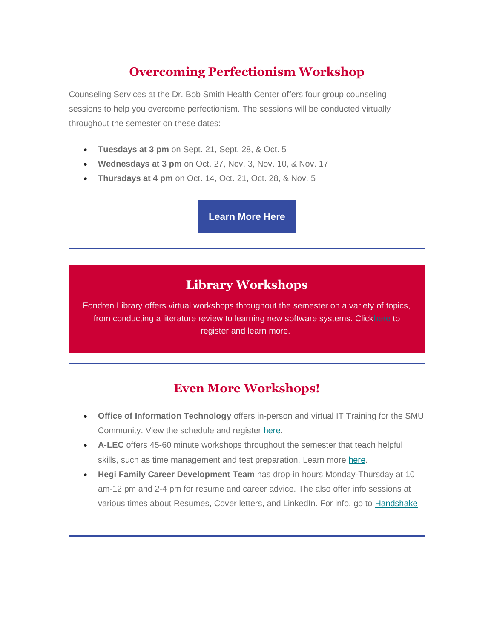# **Overcoming Perfectionism Workshop**

Counseling Services at the Dr. Bob Smith Health Center offers four group counseling sessions to help you overcome perfectionism. The sessions will be conducted virtually throughout the semester on these dates:

- **Tuesdays at 3 pm** on Sept. 21, Sept. 28, & Oct. 5
- **Wednesdays at 3 pm** on Oct. 27, Nov. 3, Nov. 10, & Nov. 17
- **Thursdays at 4 pm** on Oct. 14, Oct. 21, Oct. 28, & Nov. 5

**[Learn More Here](https://smu.us2.list-manage.com/track/click?u=05c2f1f614b1eab7f31c0ceab&id=997955f0e6&e=6b818bfc4c)**

# **Library Workshops**

Fondren Library offers virtual workshops throughout the semester on a variety of topics, from conducting a literature review to learning new software systems. Clic[khere](https://smu.us2.list-manage.com/track/click?u=05c2f1f614b1eab7f31c0ceab&id=5187f28a73&e=6b818bfc4c) to register and learn more.

## **Even More Workshops!**

- **Office of Information Technology** offers in-person and virtual IT Training for the SMU Community. View the schedule and register [here.](https://smu.us2.list-manage.com/track/click?u=05c2f1f614b1eab7f31c0ceab&id=0ce282c3d4&e=6b818bfc4c)
- **A-LEC** offers 45-60 minute workshops throughout the semester that teach helpful skills, such as time management and test preparation. Learn more [here.](https://smu.us2.list-manage.com/track/click?u=05c2f1f614b1eab7f31c0ceab&id=fcbcb11daa&e=6b818bfc4c)
- **Hegi Family Career Development Team** has drop-in hours Monday-Thursday at 10 am-12 pm and 2-4 pm for resume and career advice. The also offer info sessions at various times about Resumes, Cover letters, and LinkedIn. For info, go to [Handshake](https://smu.us2.list-manage.com/track/click?u=05c2f1f614b1eab7f31c0ceab&id=000b2eeef3&e=6b818bfc4c)